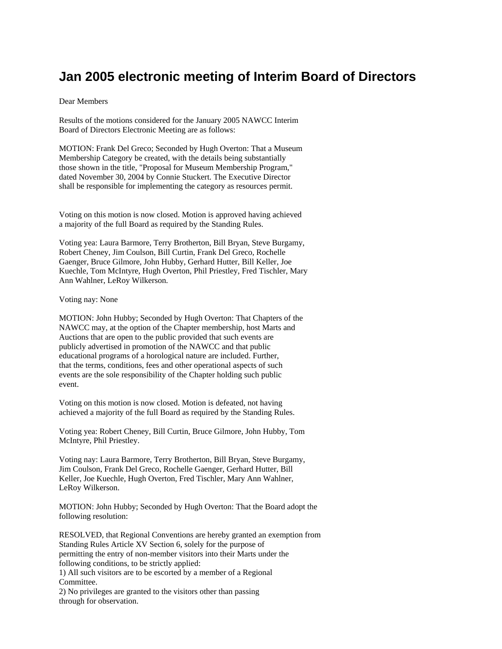## **Jan 2005 electronic meeting of Interim Board of Directors**

## Dear Members

Results of the motions considered for the January 2005 NAWCC Interim Board of Directors Electronic Meeting are as follows:

MOTION: Frank Del Greco; Seconded by Hugh Overton: That a Museum Membership Category be created, with the details being substantially those shown in the title, "Proposal for Museum Membership Program," dated November 30, 2004 by Connie Stuckert. The Executive Director shall be responsible for implementing the category as resources permit.

Voting on this motion is now closed. Motion is approved having achieved a majority of the full Board as required by the Standing Rules.

Voting yea: Laura Barmore, Terry Brotherton, Bill Bryan, Steve Burgamy, Robert Cheney, Jim Coulson, Bill Curtin, Frank Del Greco, Rochelle Gaenger, Bruce Gilmore, John Hubby, Gerhard Hutter, Bill Keller, Joe Kuechle, Tom McIntyre, Hugh Overton, Phil Priestley, Fred Tischler, Mary Ann Wahlner, LeRoy Wilkerson.

## Voting nay: None

MOTION: John Hubby; Seconded by Hugh Overton: That Chapters of the NAWCC may, at the option of the Chapter membership, host Marts and Auctions that are open to the public provided that such events are publicly advertised in promotion of the NAWCC and that public educational programs of a horological nature are included. Further, that the terms, conditions, fees and other operational aspects of such events are the sole responsibility of the Chapter holding such public event.

Voting on this motion is now closed. Motion is defeated, not having achieved a majority of the full Board as required by the Standing Rules.

Voting yea: Robert Cheney, Bill Curtin, Bruce Gilmore, John Hubby, Tom McIntyre, Phil Priestley.

Voting nay: Laura Barmore, Terry Brotherton, Bill Bryan, Steve Burgamy, Jim Coulson, Frank Del Greco, Rochelle Gaenger, Gerhard Hutter, Bill Keller, Joe Kuechle, Hugh Overton, Fred Tischler, Mary Ann Wahlner, LeRoy Wilkerson.

MOTION: John Hubby; Seconded by Hugh Overton: That the Board adopt the following resolution:

RESOLVED, that Regional Conventions are hereby granted an exemption from Standing Rules Article XV Section 6, solely for the purpose of permitting the entry of non-member visitors into their Marts under the following conditions, to be strictly applied:

1) All such visitors are to be escorted by a member of a Regional Committee.

2) No privileges are granted to the visitors other than passing through for observation.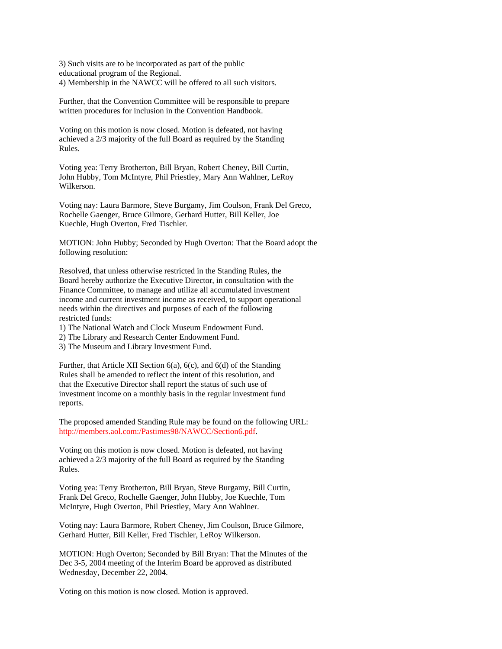3) Such visits are to be incorporated as part of the public educational program of the Regional. 4) Membership in the NAWCC will be offered to all such visitors.

Further, that the Convention Committee will be responsible to prepare written procedures for inclusion in the Convention Handbook.

Voting on this motion is now closed. Motion is defeated, not having achieved a 2/3 majority of the full Board as required by the Standing Rules.

Voting yea: Terry Brotherton, Bill Bryan, Robert Cheney, Bill Curtin, John Hubby, Tom McIntyre, Phil Priestley, Mary Ann Wahlner, LeRoy Wilkerson.

Voting nay: Laura Barmore, Steve Burgamy, Jim Coulson, Frank Del Greco, Rochelle Gaenger, Bruce Gilmore, Gerhard Hutter, Bill Keller, Joe Kuechle, Hugh Overton, Fred Tischler.

MOTION: John Hubby; Seconded by Hugh Overton: That the Board adopt the following resolution:

Resolved, that unless otherwise restricted in the Standing Rules, the Board hereby authorize the Executive Director, in consultation with the Finance Committee, to manage and utilize all accumulated investment income and current investment income as received, to support operational needs within the directives and purposes of each of the following restricted funds:

1) The National Watch and Clock Museum Endowment Fund.

2) The Library and Research Center Endowment Fund.

3) The Museum and Library Investment Fund.

Further, that Article XII Section 6(a), 6(c), and 6(d) of the Standing Rules shall be amended to reflect the intent of this resolution, and that the Executive Director shall report the status of such use of investment income on a monthly basis in the regular investment fund reports.

The proposed amended Standing Rule may be found on the following URL: http://members.aol.com:/Pastimes98/NAWCC/Section6.pdf.

Voting on this motion is now closed. Motion is defeated, not having achieved a 2/3 majority of the full Board as required by the Standing Rules.

Voting yea: Terry Brotherton, Bill Bryan, Steve Burgamy, Bill Curtin, Frank Del Greco, Rochelle Gaenger, John Hubby, Joe Kuechle, Tom McIntyre, Hugh Overton, Phil Priestley, Mary Ann Wahlner.

Voting nay: Laura Barmore, Robert Cheney, Jim Coulson, Bruce Gilmore, Gerhard Hutter, Bill Keller, Fred Tischler, LeRoy Wilkerson.

MOTION: Hugh Overton; Seconded by Bill Bryan: That the Minutes of the Dec 3-5, 2004 meeting of the Interim Board be approved as distributed Wednesday, December 22, 2004.

Voting on this motion is now closed. Motion is approved.